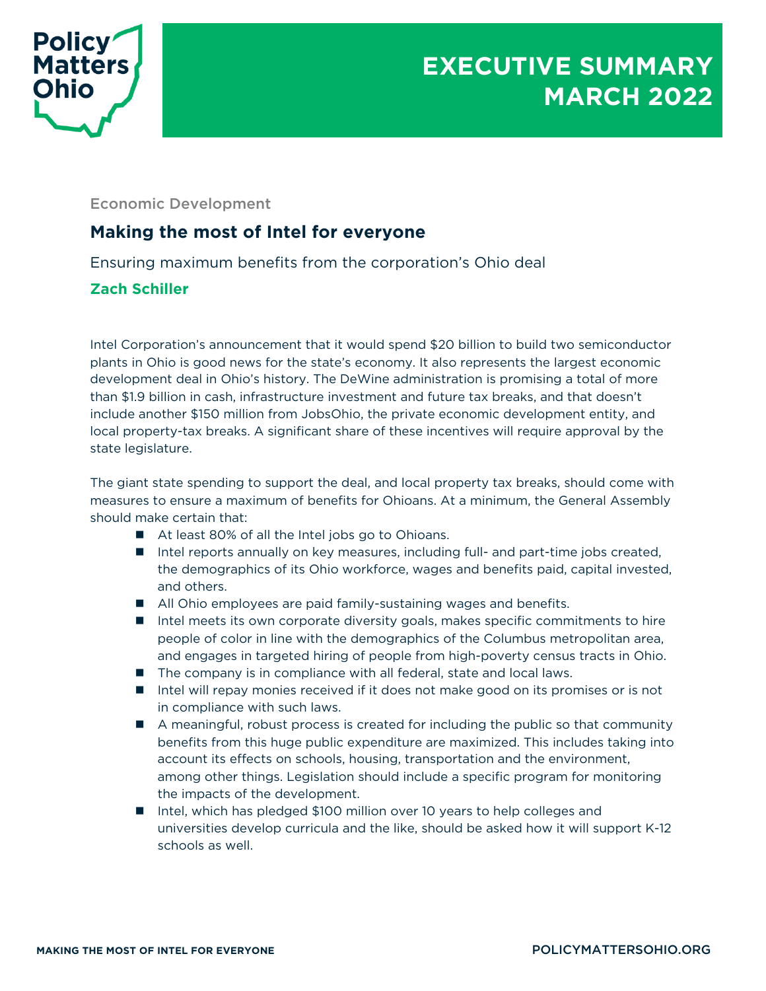

Economic Development

## **Making the most of Intel for everyone**

Ensuring maximum benefits from the corporation's Ohio deal

## **Zach Schiller**

Intel Corporation's announcement that it would spend \$20 billion to build two semiconductor plants in Ohio is good news for the state's economy. It also represents the largest economic development deal in Ohio's history. The DeWine administration is promising a total of more than \$1.9 billion in cash, infrastructure investment and future tax breaks, and that doesn't include another \$150 million from JobsOhio, the private economic development entity, and local property-tax breaks. A significant share of these incentives will require approval by the state legislature.

The giant state spending to support the deal, and local property tax breaks, should come with measures to ensure a maximum of benefits for Ohioans. At a minimum, the General Assembly should make certain that:

- At least 80% of all the Intel jobs go to Ohioans.
- Intel reports annually on key measures, including full- and part-time jobs created, the demographics of its Ohio workforce, wages and benefits paid, capital invested, and others.
- All Ohio employees are paid family-sustaining wages and benefits.
- Intel meets its own corporate diversity goals, makes specific commitments to hire people of color in line with the demographics of the Columbus metropolitan area, and engages in targeted hiring of people from high-poverty census tracts in Ohio.
- $\blacksquare$  The company is in compliance with all federal, state and local laws.
- $\blacksquare$  Intel will repay monies received if it does not make good on its promises or is not in compliance with such laws.
- $\blacksquare$  A meaningful, robust process is created for including the public so that community benefits from this huge public expenditure are maximized. This includes taking into account its effects on schools, housing, transportation and the environment, among other things. Legislation should include a specific program for monitoring the impacts of the development.
- Intel, which has pledged \$100 million over 10 years to help colleges and universities develop curricula and the like, should be asked how it will support K-12 schools as well.